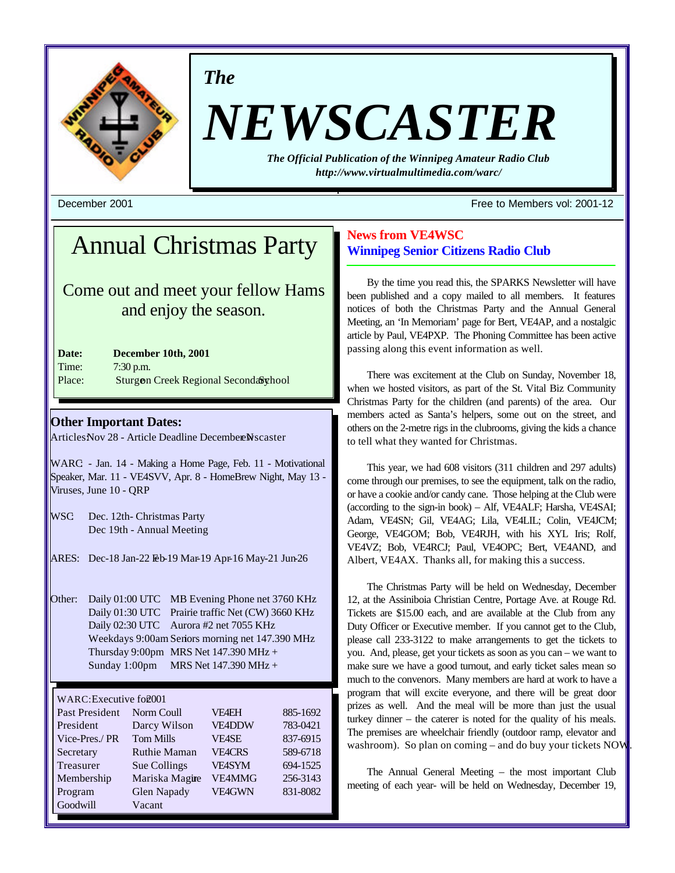

*The*

# *NEWSCASTER*

*The Official Publication of the Winnipeg Amateur Radio Club http://www.virtualmultimedia.com/warc/*

December 2001 Free to Members vol: 2001-12

# Annual Christmas Party

Come out and meet your fellow Hams and enjoy the season.

| Date:  | December 10th, 2001                   |
|--------|---------------------------------------|
| Time:  | $7:30$ p.m.                           |
| Place: | Sturgon Creek Regional Seconda& whool |

## **Other Important Dates:**

ArticlesNov 28 - Article Deadline December Newscaster

WARC - Jan. 14 - Making a Home Page, Feb. 11 - Motivational Speaker, Mar. 11 - VE4SVV, Apr. 8 - HomeBrew Night, May 13 - Viruses, June 10 - QRP

WSC Dec. 12th- Christmas Party Dec 19th - Annual Meeting

- ARES: Dec-18 Jan-22 Feb-19 Mar-19 Apr-16 May-21 Jun-26
- Other: Daily 01:00 UTC MB Evening Phone net 3760 KHz Daily 01:30 UTC Prairie traffic Net (CW) 3660 KHz Daily 02:30 UTC Aurora #2 net 7055 KHz Weekdays 9:00am Seniors morning net 147.390 MHz Thursday 9:00pm MRS Net  $147.390$  MHz + Sunday 1:00pm MRS Net 147.390 MHz +

#### WARC: Executive for 2001

| Past President | Norm Coull          | <b>VF4EH</b>  | 885-1692 |
|----------------|---------------------|---------------|----------|
| President      | Darcy Wilson        | <b>VE4DDW</b> | 783-0421 |
| Vice-Pres./ PR | <b>Tom Mills</b>    | <b>VE4SE</b>  | 837-6915 |
| Secretary      | <b>Ruthie Maman</b> | <b>VEACRS</b> | 589-6718 |
| Treasurer      | Sue Collings        | <b>VE4SYM</b> | 694-1525 |
| Membership     | Mariska Magire      | VE4MMG        | 256-3143 |
| Program        | Glen Napady         | VE4GWN        | 831-8082 |
| Goodwill       | Vacant              |               |          |

# **News from VE4WSC Winnipeg Senior Citizens Radio Club**

By the time you read this, the SPARKS Newsletter will have been published and a copy mailed to all members. It features notices of both the Christmas Party and the Annual General Meeting, an 'In Memoriam' page for Bert, VE4AP, and a nostalgic article by Paul, VE4PXP. The Phoning Committee has been active passing along this event information as well.

There was excitement at the Club on Sunday, November 18, when we hosted visitors, as part of the St. Vital Biz Community Christmas Party for the children (and parents) of the area. Our members acted as Santa's helpers, some out on the street, and others on the 2-metre rigs in the clubrooms, giving the kids a chance to tell what they wanted for Christmas.

This year, we had 608 visitors (311 children and 297 adults) come through our premises, to see the equipment, talk on the radio, or have a cookie and/or candy cane. Those helping at the Club were (according to the sign-in book) – Alf, VE4ALF; Harsha, VE4SAI; Adam, VE4SN; Gil, VE4AG; Lila, VE4LIL; Colin, VE4JCM; George, VE4GOM; Bob, VE4RJH, with his XYL Iris; Rolf, VE4VZ; Bob, VE4RCJ; Paul, VE4OPC; Bert, VE4AND, and Albert, VE4AX. Thanks all, for making this a success.

The Christmas Party will be held on Wednesday, December 12, at the Assiniboia Christian Centre, Portage Ave. at Rouge Rd. Tickets are \$15.00 each, and are available at the Club from any Duty Officer or Executive member. If you cannot get to the Club, please call 233-3122 to make arrangements to get the tickets to you. And, please, get your tickets as soon as you can – we want to make sure we have a good turnout, and early ticket sales mean so much to the convenors. Many members are hard at work to have a program that will excite everyone, and there will be great door prizes as well. And the meal will be more than just the usual turkey dinner – the caterer is noted for the quality of his meals. The premises are wheelchair friendly (outdoor ramp, elevator and washroom). So plan on coming – and do buy your tickets NOW

The Annual General Meeting – the most important Club meeting of each year- will be held on Wednesday, December 19,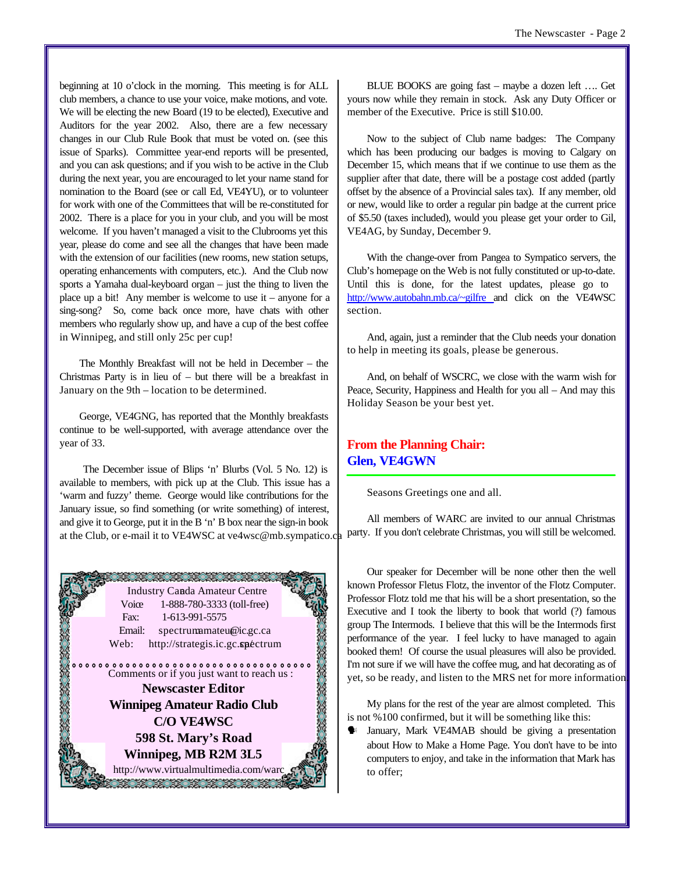beginning at 10 o'clock in the morning. This meeting is for ALL club members, a chance to use your voice, make motions, and vote. We will be electing the new Board (19 to be elected), Executive and Auditors for the year 2002. Also, there are a few necessary changes in our Club Rule Book that must be voted on. (see this issue of Sparks). Committee year-end reports will be presented, and you can ask questions; and if you wish to be active in the Club during the next year, you are encouraged to let your name stand for nomination to the Board (see or call Ed, VE4YU), or to volunteer for work with one of the Committees that will be re-constituted for 2002. There is a place for you in your club, and you will be most welcome. If you haven't managed a visit to the Clubrooms yet this year, please do come and see all the changes that have been made with the extension of our facilities (new rooms, new station setups, operating enhancements with computers, etc.). And the Club now sports a Yamaha dual-keyboard organ – just the thing to liven the place up a bit! Any member is welcome to use it – anyone for a sing-song? So, come back once more, have chats with other members who regularly show up, and have a cup of the best coffee in Winnipeg, and still only 25c per cup!

The Monthly Breakfast will not be held in December – the Christmas Party is in lieu of – but there will be a breakfast in January on the 9th – location to be determined.

George, VE4GNG, has reported that the Monthly breakfasts continue to be well-supported, with average attendance over the year of 33.

 The December issue of Blips 'n' Blurbs (Vol. 5 No. 12) is available to members, with pick up at the Club. This issue has a 'warm and fuzzy' theme. George would like contributions for the January issue, so find something (or write something) of interest, and give it to George, put it in the B 'n' B box near the sign-in book at the Club, or e-mail it to VE4WSC at ve4wsc@mb.sympatico.ca party. If you don't celebrate Christmas, you will still be welcomed.



BLUE BOOKS are going fast – maybe a dozen left …. Get yours now while they remain in stock. Ask any Duty Officer or member of the Executive. Price is still \$10.00.

Now to the subject of Club name badges: The Company which has been producing our badges is moving to Calgary on December 15, which means that if we continue to use them as the supplier after that date, there will be a postage cost added (partly offset by the absence of a Provincial sales tax). If any member, old or new, would like to order a regular pin badge at the current price of \$5.50 (taxes included), would you please get your order to Gil, VE4AG, by Sunday, December 9.

With the change-over from Pangea to Sympatico servers, the Club's homepage on the Web is not fully constituted or up-to-date. Until this is done, for the latest updates, please go to http://www.autobahn.mb.ca/~gilfre and click on the VE4WSC section.

And, again, just a reminder that the Club needs your donation to help in meeting its goals, please be generous.

And, on behalf of WSCRC, we close with the warm wish for Peace, Security, Happiness and Health for you all – And may this Holiday Season be your best yet.

# **From the Planning Chair: Glen, VE4GWN**

Seasons Greetings one and all.

All members of WARC are invited to our annual Christmas

Our speaker for December will be none other then the well known Professor Fletus Flotz, the inventor of the Flotz Computer. Professor Flotz told me that his will be a short presentation, so the Executive and I took the liberty to book that world (?) famous group The Intermods. I believe that this will be the Intermods first performance of the year. I feel lucky to have managed to again booked them! Of course the usual pleasures will also be provided. I'm not sure if we will have the coffee mug, and hat decorating as of yet, so be ready, and listen to the MRS net for more information.

My plans for the rest of the year are almost completed. This is not %100 confirmed, but it will be something like this:

January, Mark VE4MAB should be giving a presentation about How to Make a Home Page. You don't have to be into computers to enjoy, and take in the information that Mark has to offer;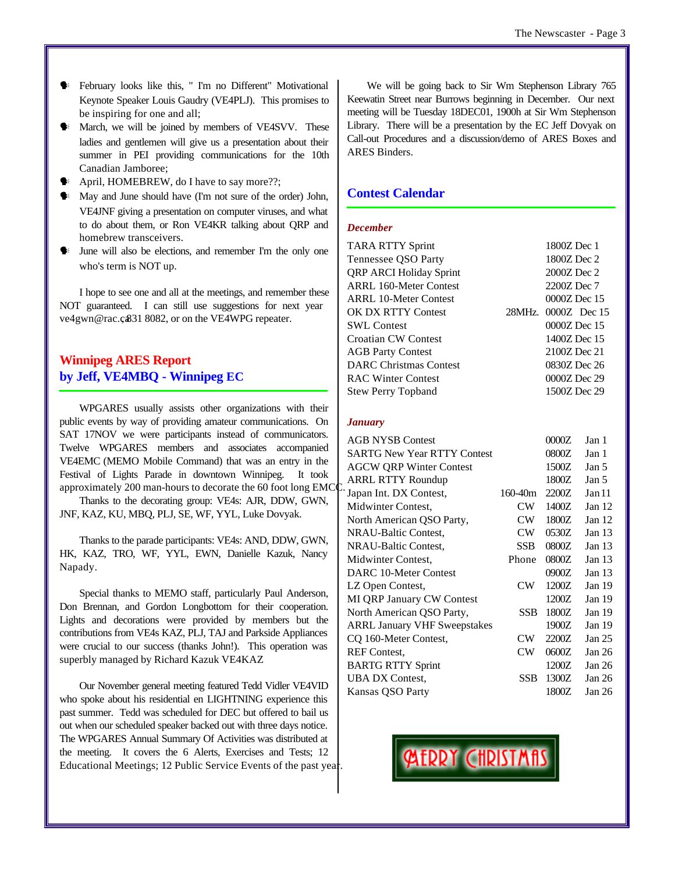- February looks like this, " I'm no Different" Motivational Keynote Speaker Louis Gaudry (VE4PLJ). This promises to be inspiring for one and all;
- March, we will be joined by members of VE4SVV. These ladies and gentlemen will give us a presentation about their summer in PEI providing communications for the 10th Canadian Jamboree;
- April, HOMEBREW, do I have to say more??;
- $\blacklozenge$  May and June should have (I'm not sure of the order) John, VE4JNF giving a presentation on computer viruses, and what to do about them, or Ron VE4KR talking about QRP and homebrew transceivers.
- June will also be elections, and remember I'm the only one who's term is NOT up.

I hope to see one and all at the meetings, and remember these NOT guaranteed. I can still use suggestions for next year ve4gwn@rac.c831 8082, or on the VE4WPG repeater.

# **Winnipeg ARES Report by Jeff, VE4MBQ - Winnipeg EC**

WPGARES usually assists other organizations with their public events by way of providing amateur communications. On SAT 17NOV we were participants instead of communicators. Twelve WPGARES members and associates accompanied VE4EMC (MEMO Mobile Command) that was an entry in the Festival of Lights Parade in downtown Winnipeg. It took approximately 200 man-hours to decorate the 60 foot long EMCC.

Thanks to the decorating group: VE4s: AJR, DDW, GWN, JNF, KAZ, KU, MBQ, PLJ, SE, WF, YYL, Luke Dovyak.

Thanks to the parade participants: VE4s: AND, DDW, GWN, HK, KAZ, TRO, WF, YYL, EWN, Danielle Kazuk, Nancy Napady.

Special thanks to MEMO staff, particularly Paul Anderson, Don Brennan, and Gordon Longbottom for their cooperation. Lights and decorations were provided by members but the contributions from VE4s KAZ, PLJ, TAJ and Parkside Appliances were crucial to our success (thanks John!). This operation was superbly managed by Richard Kazuk VE4KAZ

Our November general meeting featured Tedd Vidler VE4VID who spoke about his residential en LIGHTNING experience this past summer. Tedd was scheduled for DEC but offered to bail us out when our scheduled speaker backed out with three days notice. The WPGARES Annual Summary Of Activities was distributed at the meeting. It covers the 6 Alerts, Exercises and Tests; 12 Educational Meetings; 12 Public Service Events of the past year.

We will be going back to Sir Wm Stephenson Library 765 Keewatin Street near Burrows beginning in December. Our next meeting will be Tuesday 18DEC01, 1900h at Sir Wm Stephenson Library. There will be a presentation by the EC Jeff Dovyak on Call-out Procedures and a discussion/demo of ARES Boxes and ARES Binders.

# **Contest Calendar**

#### *December*

| <b>TARA RTTY Sprint</b>        | 1800Z Dec 1         |
|--------------------------------|---------------------|
| Tennessee QSO Party            | 1800Z Dec 2         |
| <b>QRP ARCI Holiday Sprint</b> | 2000Z Dec 2         |
| <b>ARRL 160-Meter Contest</b>  | 2200Z Dec 7         |
| <b>ARRL 10-Meter Contest</b>   | 0000Z Dec 15        |
| OK DX RTTY Contest             | 28MHz. 0000Z Dec 15 |
| <b>SWL Contest</b>             | 0000Z Dec 15        |
| <b>Croatian CW Contest</b>     | 1400Z Dec 15        |
| <b>AGB Party Contest</b>       | 2100Z Dec 21        |
| <b>DARC</b> Christmas Contest  | 0830Z Dec 26        |
| <b>RAC Winter Contest</b>      | 0000Z Dec 29        |
| <b>Stew Perry Topband</b>      | 1500Z Dec 29        |
|                                |                     |

#### *January*

| <b>AGB NYSB Contest</b>             |             | 0000Z | Jan 1             |
|-------------------------------------|-------------|-------|-------------------|
| <b>SARTG New Year RTTY Contest</b>  |             | 0800Z | Jan 1             |
| <b>AGCW QRP Winter Contest</b>      |             | 1500Z | Jan <sub>5</sub>  |
| <b>ARRL RTTY Roundup</b>            |             | 1800Z | Jan 5             |
| Japan Int. DX Contest,              | $160 - 40m$ | 2200Z | Jan 11            |
| Midwinter Contest,                  | CW          | 1400Z | Jan $12$          |
| North American QSO Party,           | CW          | 1800Z | Jan $12$          |
| NRAU-Baltic Contest,                | <b>CW</b>   | 0530Z | Jan <sub>13</sub> |
| NRAU-Baltic Contest,                | <b>SSB</b>  | 0800Z | Jan $13$          |
| Midwinter Contest,                  | Phone       | 0800Z | Jan $13$          |
| DARC 10-Meter Contest               |             | 0900Z | Jan <sub>13</sub> |
| LZ Open Contest,                    | $\rm CW$    | 1200Z | Jan 19            |
| <b>MI QRP January CW Contest</b>    |             | 1200Z | Jan 19            |
| North American QSO Party,           | <b>SSB</b>  | 1800Z | Jan 19            |
| <b>ARRL January VHF Sweepstakes</b> |             | 1900Z | Jan $19$          |
| CQ 160-Meter Contest,               | CW          | 2200Z | Jan 25            |
| <b>REF</b> Contest.                 | CW          | 0600Z | Jan 26            |
| <b>BARTG RTTY Sprint</b>            |             | 1200Z | Jan 26            |
| <b>UBA DX Contest,</b>              | <b>SSB</b>  | 1300Z | Jan 26            |
| Kansas QSO Party                    |             | 1800Z | Jan 26            |
|                                     |             |       |                   |

**ALARY CHRISTMA**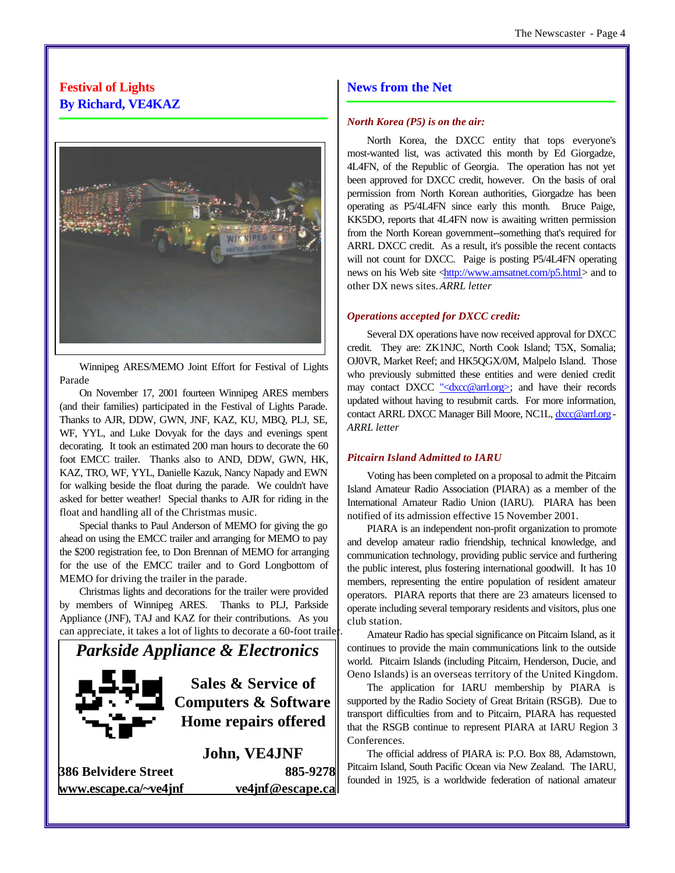# **Festival of Lights By Richard, VE4KAZ**



Winnipeg ARES/MEMO Joint Effort for Festival of Lights Parade

On November 17, 2001 fourteen Winnipeg ARES members (and their families) participated in the Festival of Lights Parade. Thanks to AJR, DDW, GWN, JNF, KAZ, KU, MBQ, PLJ, SE, WF, YYL, and Luke Dovyak for the days and evenings spent decorating. It took an estimated 200 man hours to decorate the 60 foot EMCC trailer. Thanks also to AND, DDW, GWN, HK, KAZ, TRO, WF, YYL, Danielle Kazuk, Nancy Napady and EWN for walking beside the float during the parade. We couldn't have asked for better weather! Special thanks to AJR for riding in the float and handling all of the Christmas music.

Special thanks to Paul Anderson of MEMO for giving the go ahead on using the EMCC trailer and arranging for MEMO to pay the \$200 registration fee, to Don Brennan of MEMO for arranging for the use of the EMCC trailer and to Gord Longbottom of MEMO for driving the trailer in the parade.

Christmas lights and decorations for the trailer were provided by members of Winnipeg ARES. Thanks to PLJ, Parkside Appliance (JNF), TAJ and KAZ for their contributions. As you can appreciate, it takes a lot of lights to decorate a 60-foot trailer.



**386 Belvidere Street 885-9278 www.escape.ca/~ve4jnf ve4jnf@escape.ca**

# **News from the Net** *North Korea (P5) is on the air:*

North Korea, the DXCC entity that tops everyone's most-wanted list, was activated this month by Ed Giorgadze, 4L4FN, of the Republic of Georgia. The operation has not yet been approved for DXCC credit, however. On the basis of oral permission from North Korean authorities, Giorgadze has been operating as P5/4L4FN since early this month. Bruce Paige,

KK5DO, reports that 4L4FN now is awaiting written permission from the North Korean government--something that's required for ARRL DXCC credit. As a result, it's possible the recent contacts will not count for DXCC. Paige is posting P5/4L4FN operating news on his Web site <http://www.amsatnet.com/p5.html> and to other DX news sites. **ARRL** letter

#### *Operations accepted for DXCC credit:*

Several DX operations have now received approval for DXCC credit. They are: ZK1NJC, North Cook Island; T5X, Somalia; OJ0VR, Market Reef; and HK5QGX/0M, Malpelo Island. Those who previously submitted these entities and were denied credit may contact DXCC "<dxcc@arrl.org>; and have their records updated without having to resubmit cards. For more information, contact ARRL DXCC Manager Bill Moore, NC1L, dxcc@arrl.org -*ARRL letter*

#### *Pitcairn Island Admitted to IARU*

Voting has been completed on a proposal to admit the Pitcairn Island Amateur Radio Association (PIARA) as a member of the International Amateur Radio Union (IARU). PIARA has been notified of its admission effective 15 November 2001.

PIARA is an independent non-profit organization to promote and develop amateur radio friendship, technical knowledge, and communication technology, providing public service and furthering the public interest, plus fostering international goodwill. It has 10 members, representing the entire population of resident amateur operators. PIARA reports that there are 23 amateurs licensed to operate including several temporary residents and visitors, plus one club station.

Amateur Radio has special significance on Pitcairn Island, as it continues to provide the main communications link to the outside world. Pitcairn Islands (including Pitcairn, Henderson, Ducie, and Oeno Islands) is an overseas territory of the United Kingdom.

The application for IARU membership by PIARA is supported by the Radio Society of Great Britain (RSGB). Due to transport difficulties from and to Pitcairn, PIARA has requested that the RSGB continue to represent PIARA at IARU Region 3 Conferences.

The official address of PIARA is: P.O. Box 88, Adamstown, Pitcairn Island, South Pacific Ocean via New Zealand. The IARU, founded in 1925, is a worldwide federation of national amateur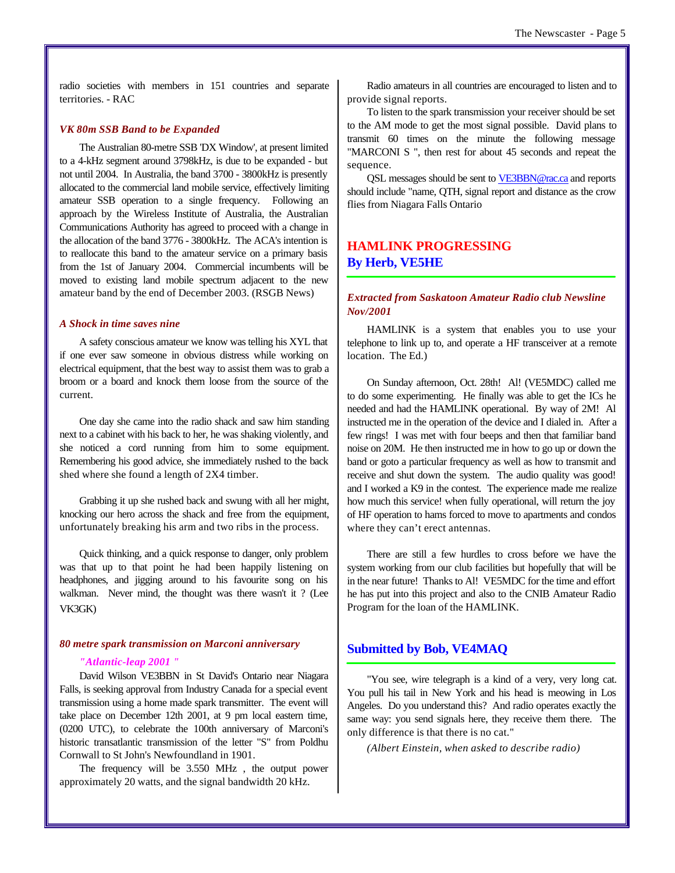radio societies with members in 151 countries and separate territories. - RAC

#### *VK 80m SSB Band to be Expanded*

The Australian 80-metre SSB 'DX Window', at present limited to a 4-kHz segment around 3798kHz, is due to be expanded - but not until 2004. In Australia, the band 3700 - 3800kHz is presently allocated to the commercial land mobile service, effectively limiting amateur SSB operation to a single frequency. Following an approach by the Wireless Institute of Australia, the Australian Communications Authority has agreed to proceed with a change in the allocation of the band 3776 - 3800kHz. The ACA's intention is to reallocate this band to the amateur service on a primary basis from the 1st of January 2004. Commercial incumbents will be moved to existing land mobile spectrum adjacent to the new amateur band by the end of December 2003. (RSGB News)

#### *A Shock in time saves nine*

A safety conscious amateur we know was telling his XYL that if one ever saw someone in obvious distress while working on electrical equipment, that the best way to assist them was to grab a broom or a board and knock them loose from the source of the current.

One day she came into the radio shack and saw him standing next to a cabinet with his back to her, he was shaking violently, and she noticed a cord running from him to some equipment. Remembering his good advice, she immediately rushed to the back shed where she found a length of 2X4 timber.

Grabbing it up she rushed back and swung with all her might, knocking our hero across the shack and free from the equipment, unfortunately breaking his arm and two ribs in the process.

Quick thinking, and a quick response to danger, only problem was that up to that point he had been happily listening on headphones, and jigging around to his favourite song on his walkman. Never mind, the thought was there wasn't it ? (Lee VK3GK)

#### *80 metre spark transmission on Marconi anniversary*

#### *"Atlantic-leap 2001 "*

David Wilson VE3BBN in St David's Ontario near Niagara Falls, is seeking approval from Industry Canada for a special event transmission using a home made spark transmitter. The event will take place on December 12th 2001, at 9 pm local eastern time, (0200 UTC), to celebrate the 100th anniversary of Marconi's historic transatlantic transmission of the letter "S" from Poldhu Cornwall to St John's Newfoundland in 1901.

The frequency will be 3.550 MHz , the output power approximately 20 watts, and the signal bandwidth 20 kHz.

Radio amateurs in all countries are encouraged to listen and to provide signal reports.

To listen to the spark transmission your receiver should be set to the AM mode to get the most signal possible. David plans to transmit 60 times on the minute the following message "MARCONI S ", then rest for about 45 seconds and repeat the sequence.

QSL messages should be sent to VE3BBN@rac.ca and reports should include "name, QTH, signal report and distance as the crow flies from Niagara Falls Ontario

# **HAMLINK PROGRESSING By Herb, VE5HE**

## *Extracted from Saskatoon Amateur Radio club Newsline Nov/2001*

HAMLINK is a system that enables you to use your telephone to link up to, and operate a HF transceiver at a remote location. The Ed.)

On Sunday afternoon, Oct. 28th! Al! (VE5MDC) called me to do some experimenting. He finally was able to get the ICs he needed and had the HAMLINK operational. By way of 2M! Al instructed me in the operation of the device and I dialed in. After a few rings! I was met with four beeps and then that familiar band noise on 20M. He then instructed me in how to go up or down the band or goto a particular frequency as well as how to transmit and receive and shut down the system. The audio quality was good! and I worked a K9 in the contest. The experience made me realize how much this service! when fully operational, will return the joy of HF operation to hams forced to move to apartments and condos where they can't erect antennas.

There are still a few hurdles to cross before we have the system working from our club facilities but hopefully that will be in the near future! Thanks to Al! VE5MDC for the time and effort he has put into this project and also to the CNIB Amateur Radio Program for the loan of the HAMLINK.

#### **Submitted by Bob, VE4MAQ**

"You see, wire telegraph is a kind of a very, very long cat. You pull his tail in New York and his head is meowing in Los Angeles. Do you understand this? And radio operates exactly the same way: you send signals here, they receive them there. The only difference is that there is no cat."

*(Albert Einstein, when asked to describe radio)*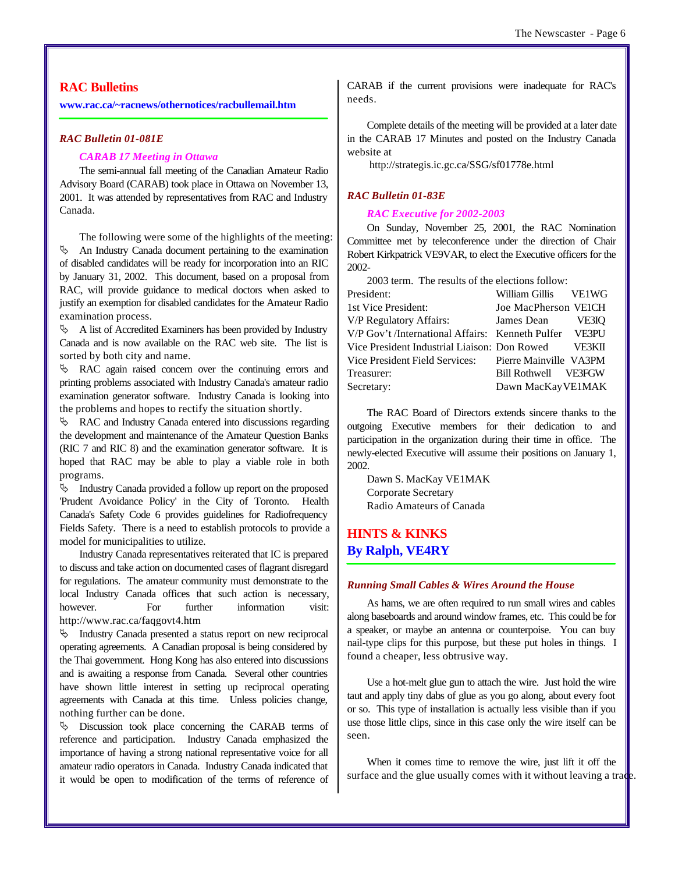#### **RAC Bulletins**

**www.rac.ca/~racnews/othernotices/racbullemail.htm**

#### *RAC Bulletin 01-081E*

#### *CARAB 17 Meeting in Ottawa*

The semi-annual fall meeting of the Canadian Amateur Radio Advisory Board (CARAB) took place in Ottawa on November 13, 2001. It was attended by representatives from RAC and Industry Canada.

The following were some of the highlights of the meeting:  $\uparrow$  An Industry Canada document pertaining to the examination of disabled candidates will be ready for incorporation into an RIC by January 31, 2002. This document, based on a proposal from RAC, will provide guidance to medical doctors when asked to justify an exemption for disabled candidates for the Amateur Radio examination process.

 $\uparrow$  A list of Accredited Examiners has been provided by Industry Canada and is now available on the RAC web site. The list is sorted by both city and name.

ƒ RAC again raised concern over the continuing errors and printing problems associated with Industry Canada's amateur radio examination generator software. Industry Canada is looking into the problems and hopes to rectify the situation shortly.

 $\&$  RAC and Industry Canada entered into discussions regarding the development and maintenance of the Amateur Question Banks (RIC 7 and RIC 8) and the examination generator software. It is hoped that RAC may be able to play a viable role in both programs.

 $\upphi$  Industry Canada provided a follow up report on the proposed 'Prudent Avoidance Policy' in the City of Toronto. Health Canada's Safety Code 6 provides guidelines for Radiofrequency Fields Safety. There is a need to establish protocols to provide a model for municipalities to utilize.

Industry Canada representatives reiterated that IC is prepared to discuss and take action on documented cases of flagrant disregard for regulations. The amateur community must demonstrate to the local Industry Canada offices that such action is necessary, however. For further information visit: http://www.rac.ca/faqgovt4.htm

ƒ Industry Canada presented a status report on new reciprocal operating agreements. A Canadian proposal is being considered by the Thai government. Hong Kong has also entered into discussions and is awaiting a response from Canada. Several other countries have shown little interest in setting up reciprocal operating agreements with Canada at this time. Unless policies change, nothing further can be done.

ƒ Discussion took place concerning the CARAB terms of reference and participation. Industry Canada emphasized the importance of having a strong national representative voice for all amateur radio operators in Canada. Industry Canada indicated that it would be open to modification of the terms of reference of CARAB if the current provisions were inadequate for RAC's needs.

Complete details of the meeting will be provided at a later date in the CARAB 17 Minutes and posted on the Industry Canada website at

http://strategis.ic.gc.ca/SSG/sf01778e.html

#### *RAC Bulletin 01-83E*

#### *RAC Executive for 2002-2003*

On Sunday, November 25, 2001, the RAC Nomination Committee met by teleconference under the direction of Chair Robert Kirkpatrick VE9VAR, to elect the Executive officers for the 2002-

| 2003 term. The results of the elections follow:        |                      |  |
|--------------------------------------------------------|----------------------|--|
| President:                                             | William Gillis VE1WG |  |
| 1st Vice President:                                    | Joe MacPherson VEICH |  |
| V/P Regulatory Affairs:                                | James Dean VE3IO     |  |
| V/P Gov't /International Affairs: Kenneth Pulfer VE3PU |                      |  |
| Vice President Industrial Liaison: Don Rowed VE3KII    |                      |  |
| Vice President Field Services: Pierre Mainville VA3PM  |                      |  |
| Treasurer:                                             | Bill Rothwell VE3FGW |  |
| Secretary:                                             | Dawn MacKayVE1MAK    |  |
|                                                        |                      |  |

The RAC Board of Directors extends sincere thanks to the outgoing Executive members for their dedication to and participation in the organization during their time in office. The newly-elected Executive will assume their positions on January 1, 2002.

Dawn S. MacKay VE1MAK Corporate Secretary Radio Amateurs of Canada

# **HINTS & KINKS By Ralph, VE4RY**

#### *Running Small Cables & Wires Around the House*

As hams, we are often required to run small wires and cables along baseboards and around window frames, etc. This could be for a speaker, or maybe an antenna or counterpoise. You can buy nail-type clips for this purpose, but these put holes in things. I found a cheaper, less obtrusive way.

Use a hot-melt glue gun to attach the wire. Just hold the wire taut and apply tiny dabs of glue as you go along, about every foot or so. This type of installation is actually less visible than if you use those little clips, since in this case only the wire itself can be seen.

When it comes time to remove the wire, just lift it off the surface and the glue usually comes with it without leaving a trade.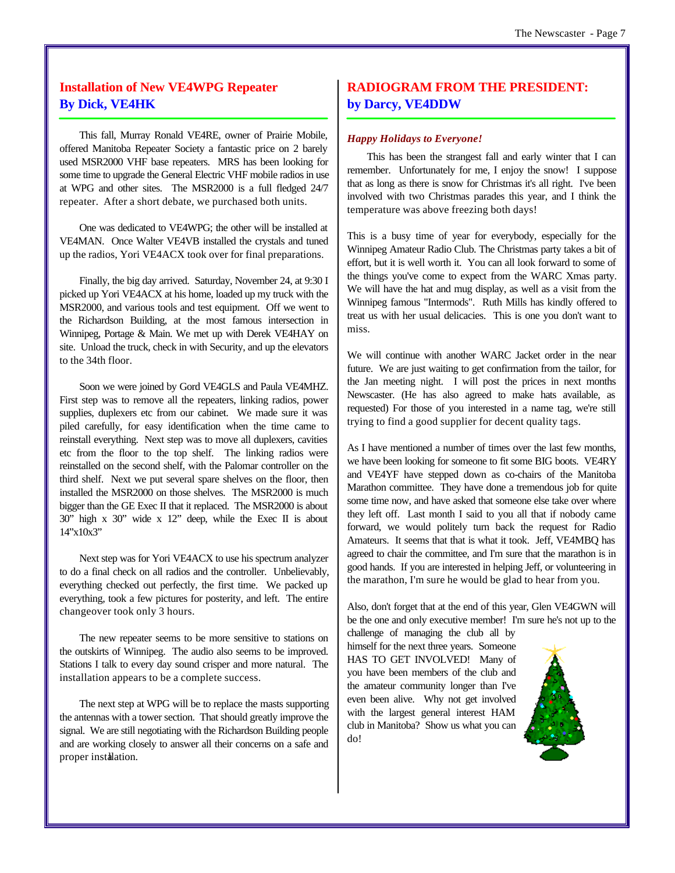# **Installation of New VE4WPG Repeater By Dick, VE4HK**

This fall, Murray Ronald VE4RE, owner of Prairie Mobile, offered Manitoba Repeater Society a fantastic price on 2 barely used MSR2000 VHF base repeaters. MRS has been looking for some time to upgrade the General Electric VHF mobile radios in use at WPG and other sites. The MSR2000 is a full fledged 24/7 repeater. After a short debate, we purchased both units.

One was dedicated to VE4WPG; the other will be installed at VE4MAN. Once Walter VE4VB installed the crystals and tuned up the radios, Yori VE4ACX took over for final preparations.

Finally, the big day arrived. Saturday, November 24, at 9:30 I picked up Yori VE4ACX at his home, loaded up my truck with the MSR2000, and various tools and test equipment. Off we went to the Richardson Building, at the most famous intersection in Winnipeg, Portage & Main. We met up with Derek VE4HAY on site. Unload the truck, check in with Security, and up the elevators to the 34th floor.

Soon we were joined by Gord VE4GLS and Paula VE4MHZ. First step was to remove all the repeaters, linking radios, power supplies, duplexers etc from our cabinet. We made sure it was piled carefully, for easy identification when the time came to reinstall everything. Next step was to move all duplexers, cavities etc from the floor to the top shelf. The linking radios were reinstalled on the second shelf, with the Palomar controller on the third shelf. Next we put several spare shelves on the floor, then installed the MSR2000 on those shelves. The MSR2000 is much bigger than the GE Exec II that it replaced. The MSR2000 is about 30" high x 30" wide x 12" deep, while the Exec II is about 14"x10x3"

Next step was for Yori VE4ACX to use his spectrum analyzer to do a final check on all radios and the controller. Unbelievably, everything checked out perfectly, the first time. We packed up everything, took a few pictures for posterity, and left. The entire changeover took only 3 hours.

The new repeater seems to be more sensitive to stations on the outskirts of Winnipeg. The audio also seems to be improved. Stations I talk to every day sound crisper and more natural. The installation appears to be a complete success.

The next step at WPG will be to replace the masts supporting the antennas with a tower section. That should greatly improve the signal. We are still negotiating with the Richardson Building people and are working closely to answer all their concerns on a safe and proper instalation.

# **RADIOGRAM FROM THE PRESIDENT: by Darcy, VE4DDW**

#### *Happy Holidays to Everyone!*

This has been the strangest fall and early winter that I can remember. Unfortunately for me, I enjoy the snow! I suppose that as long as there is snow for Christmas it's all right. I've been involved with two Christmas parades this year, and I think the temperature was above freezing both days!

This is a busy time of year for everybody, especially for the Winnipeg Amateur Radio Club. The Christmas party takes a bit of effort, but it is well worth it. You can all look forward to some of the things you've come to expect from the WARC Xmas party. We will have the hat and mug display, as well as a visit from the Winnipeg famous "Intermods". Ruth Mills has kindly offered to treat us with her usual delicacies. This is one you don't want to miss.

We will continue with another WARC Jacket order in the near future. We are just waiting to get confirmation from the tailor, for the Jan meeting night. I will post the prices in next months Newscaster. (He has also agreed to make hats available, as requested) For those of you interested in a name tag, we're still trying to find a good supplier for decent quality tags.

As I have mentioned a number of times over the last few months, we have been looking for someone to fit some BIG boots. VE4RY and VE4YF have stepped down as co-chairs of the Manitoba Marathon committee. They have done a tremendous job for quite some time now, and have asked that someone else take over where they left off. Last month I said to you all that if nobody came forward, we would politely turn back the request for Radio Amateurs. It seems that that is what it took. Jeff, VE4MBQ has agreed to chair the committee, and I'm sure that the marathon is in good hands. If you are interested in helping Jeff, or volunteering in the marathon, I'm sure he would be glad to hear from you.

Also, don't forget that at the end of this year, Glen VE4GWN will be the one and only executive member! I'm sure he's not up to the

challenge of managing the club all by himself for the next three years. Someone HAS TO GET INVOLVED! Many of you have been members of the club and the amateur community longer than I've even been alive. Why not get involved with the largest general interest HAM club in Manitoba? Show us what you can do!

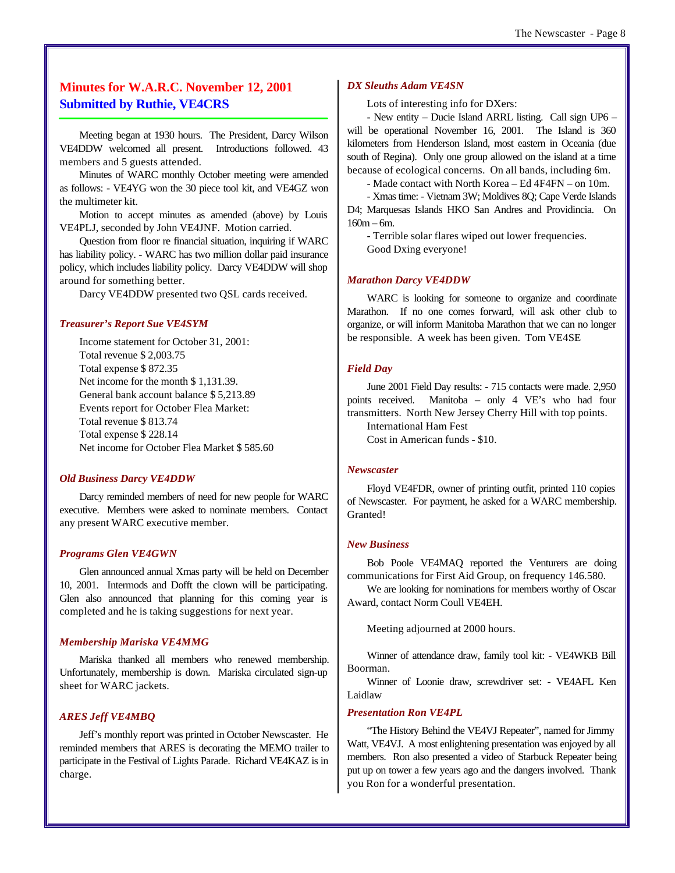# **Minutes for W.A.R.C. November 12, 2001 Submitted by Ruthie, VE4CRS**

Meeting began at 1930 hours. The President, Darcy Wilson VE4DDW welcomed all present. Introductions followed. 43 members and 5 guests attended.

Minutes of WARC monthly October meeting were amended as follows: - VE4YG won the 30 piece tool kit, and VE4GZ won the multimeter kit.

Motion to accept minutes as amended (above) by Louis VE4PLJ, seconded by John VE4JNF. Motion carried.

Question from floor re financial situation, inquiring if WARC has liability policy. - WARC has two million dollar paid insurance policy, which includes liability policy. Darcy VE4DDW will shop around for something better.

Darcy VE4DDW presented two QSL cards received.

#### *Treasurer's Report Sue VE4SYM*

Income statement for October 31, 2001: Total revenue \$ 2,003.75 Total expense \$ 872.35 Net income for the month \$1,131.39. General bank account balance \$ 5,213.89 Events report for October Flea Market: Total revenue \$ 813.74 Total expense \$ 228.14 Net income for October Flea Market \$ 585.60

#### *Old Business Darcy VE4DDW*

Darcy reminded members of need for new people for WARC executive. Members were asked to nominate members. Contact any present WARC executive member.

#### *Programs Glen VE4GWN*

Glen announced annual Xmas party will be held on December 10, 2001. Intermods and Dofft the clown will be participating. Glen also announced that planning for this coming year is completed and he is taking suggestions for next year.

#### *Membership Mariska VE4MMG*

Mariska thanked all members who renewed membership. Unfortunately, membership is down. Mariska circulated sign-up sheet for WARC jackets.

#### *ARES Jeff VE4MBQ*

Jeff's monthly report was printed in October Newscaster. He reminded members that ARES is decorating the MEMO trailer to participate in the Festival of Lights Parade. Richard VE4KAZ is in charge.

#### *DX Sleuths Adam VE4SN*

Lots of interesting info for DXers:

- New entity – Ducie Island ARRL listing. Call sign UP6 – will be operational November 16, 2001. The Island is 360 kilometers from Henderson Island, most eastern in Oceania (due south of Regina). Only one group allowed on the island at a time because of ecological concerns. On all bands, including 6m.

- Made contact with North Korea – Ed 4F4FN – on 10m.

- Xmas time: - Vietnam 3W; Moldives 8Q; Cape Verde Islands D4; Marquesas Islands HKO San Andres and Providincia. On 160m – 6m.

- Terrible solar flares wiped out lower frequencies. Good Dxing everyone!

#### *Marathon Darcy VE4DDW*

WARC is looking for someone to organize and coordinate Marathon. If no one comes forward, will ask other club to organize, or will inform Manitoba Marathon that we can no longer be responsible. A week has been given. Tom VE4SE

#### *Field Day*

June 2001 Field Day results: - 715 contacts were made. 2,950 points received. Manitoba – only 4 VE's who had four transmitters. North New Jersey Cherry Hill with top points.

International Ham Fest

Cost in American funds - \$10.

#### *Newscaster*

Floyd VE4FDR, owner of printing outfit, printed 110 copies of Newscaster. For payment, he asked for a WARC membership. Granted!

#### *New Business*

Bob Poole VE4MAQ reported the Venturers are doing communications for First Aid Group, on frequency 146.580.

We are looking for nominations for members worthy of Oscar Award, contact Norm Coull VE4EH.

Meeting adjourned at 2000 hours.

Winner of attendance draw, family tool kit: - VE4WKB Bill Boorman.

Winner of Loonie draw, screwdriver set: - VE4AFL Ken Laidlaw

#### *Presentation Ron VE4PL*

"The History Behind the VE4VJ Repeater", named for Jimmy Watt, VE4VJ. A most enlightening presentation was enjoyed by all members. Ron also presented a video of Starbuck Repeater being put up on tower a few years ago and the dangers involved. Thank you Ron for a wonderful presentation.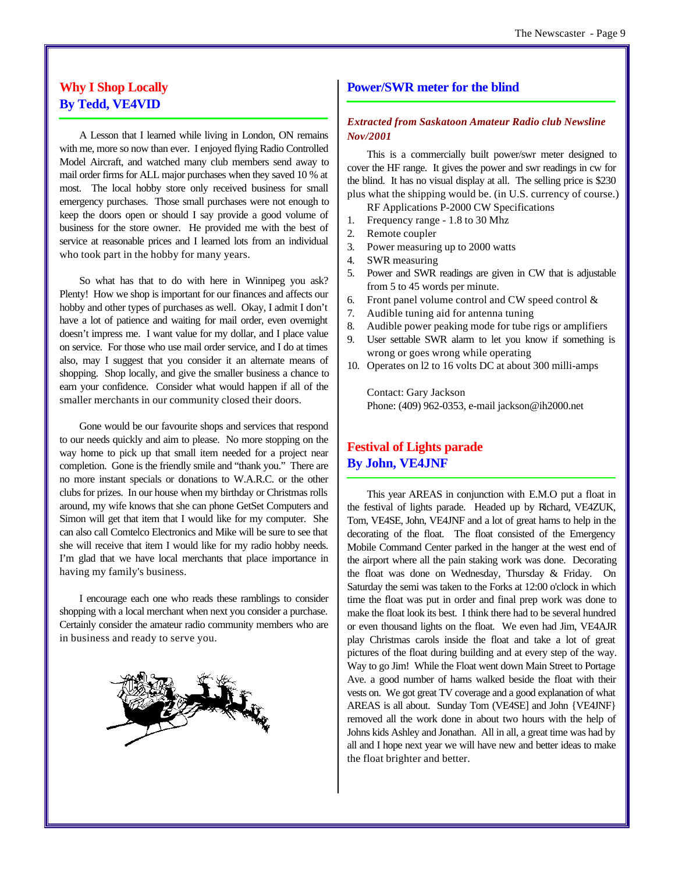# **Why I Shop Locally By Tedd, VE4VID**

A Lesson that I learned while living in London, ON remains with me, more so now than ever. I enjoyed flying Radio Controlled Model Aircraft, and watched many club members send away to mail order firms for ALL major purchases when they saved 10 % at most. The local hobby store only received business for small emergency purchases. Those small purchases were not enough to keep the doors open or should I say provide a good volume of business for the store owner. He provided me with the best of service at reasonable prices and I learned lots from an individual who took part in the hobby for many years.

So what has that to do with here in Winnipeg you ask? Plenty! How we shop is important for our finances and affects our hobby and other types of purchases as well. Okay, I admit I don't have a lot of patience and waiting for mail order, even overnight doesn't impress me. I want value for my dollar, and I place value on service. For those who use mail order service, and I do at times also, may I suggest that you consider it an alternate means of shopping. Shop locally, and give the smaller business a chance to earn your confidence. Consider what would happen if all of the smaller merchants in our community closed their doors.

Gone would be our favourite shops and services that respond to our needs quickly and aim to please. No more stopping on the way home to pick up that small item needed for a project near completion. Gone is the friendly smile and "thank you." There are no more instant specials or donations to W.A.R.C. or the other clubs for prizes. In our house when my birthday or Christmas rolls around, my wife knows that she can phone GetSet Computers and Simon will get that item that I would like for my computer. She can also call Comtelco Electronics and Mike will be sure to see that she will receive that item I would like for my radio hobby needs. I'm glad that we have local merchants that place importance in having my family's business.

I encourage each one who reads these ramblings to consider shopping with a local merchant when next you consider a purchase. Certainly consider the amateur radio community members who are in business and ready to serve you.



#### **Power/SWR meter for the blind**

#### *Extracted from Saskatoon Amateur Radio club Newsline Nov/2001*

This is a commercially built power/swr meter designed to cover the HF range. It gives the power and swr readings in cw for the blind. It has no visual display at all. The selling price is \$230 plus what the shipping would be. (in U.S. currency of course.)

RF Applications P-2000 CW Specifications

- 1. Frequency range 1.8 to 30 Mhz
- 2. Remote coupler
- 3. Power measuring up to 2000 watts
- 4. SWR measuring
- 5. Power and SWR readings are given in CW that is adjustable from 5 to 45 words per minute.
- 6. Front panel volume control and CW speed control &
- 7. Audible tuning aid for antenna tuning
- 8. Audible power peaking mode for tube rigs or amplifiers
- 9. User settable SWR alarm to let you know if something is wrong or goes wrong while operating
- 10. Operates on l2 to 16 volts DC at about 300 milli-amps

Contact: Gary Jackson Phone: (409) 962-0353, e-mail jackson@ih2000.net

# **Festival of Lights parade By John, VE4JNF**

This year AREAS in conjunction with E.M.O put a float in the festival of lights parade. Headed up by Richard, VE4ZUK, Tom, VE4SE, John, VE4JNF and a lot of great hams to help in the decorating of the float. The float consisted of the Emergency Mobile Command Center parked in the hanger at the west end of the airport where all the pain staking work was done. Decorating the float was done on Wednesday, Thursday & Friday. On Saturday the semi was taken to the Forks at 12:00 o'clock in which time the float was put in order and final prep work was done to make the float look its best. I think there had to be several hundred or even thousand lights on the float. We even had Jim, VE4AJR play Christmas carols inside the float and take a lot of great pictures of the float during building and at every step of the way. Way to go Jim! While the Float went down Main Street to Portage Ave. a good number of hams walked beside the float with their vests on. We got great TV coverage and a good explanation of what AREAS is all about. Sunday Tom (VE4SE] and John {VE4JNF} removed all the work done in about two hours with the help of Johns kids Ashley and Jonathan. All in all, a great time was had by all and I hope next year we will have new and better ideas to make the float brighter and better.